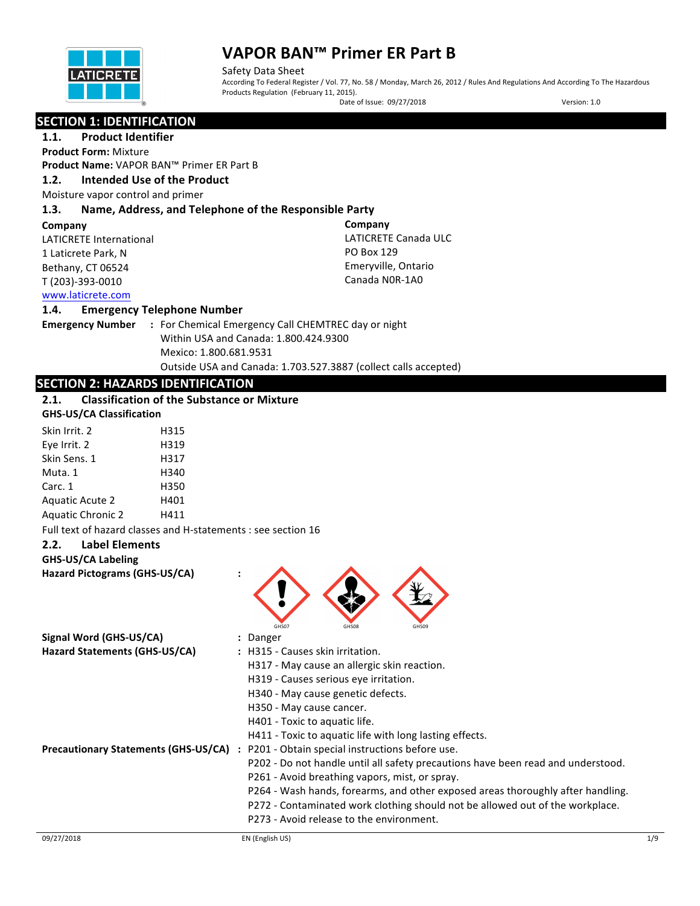

Safety Data Sheet According To Federal Register / Vol. 77, No. 58 / Monday, March 26, 2012 / Rules And Regulations And According To The Hazardous Products Regulation (February 11, 2015).

Date of Issue: 09/27/2018 Version: 1.0

| <b>SECTION 1: IDENTIFICATION</b> |
|----------------------------------|
|----------------------------------|

**1.1.** Product Identifier **Product Form: Mixture** 

**Product Name:** VAPOR BAN™ Primer ER Part B

## 1.2. **Intended Use of the Product**

Moisture vapor control and primer

## **1.3. Name, Address, and Telephone of the Responsible Party**

#### **Company**

LATICRETE International 1 Laticrete Park, N Bethany, CT 06524 T (203)-393-0010

**Company** LATICRETE Canada ULC PO Box 129 Emeryville, Ontario Canada NOR-1A0

# www.laticrete.com

#### **1.4. Emergency Telephone Number**

| <b>Emergency Number</b> |  |
|-------------------------|--|
|-------------------------|--|

**:** For Chemical Emergency Call CHEMTREC day or night Within USA and Canada: 1.800.424.9300 Mexico: 1.800.681.9531 Outside USA and Canada: 1.703.527.3887 (collect calls accepted)

# **SECTION 2: HAZARDS IDENTIFICATION**

# **2.1.** Classification of the Substance or Mixture

## **GHS-US/CA Classification**

| H315 |
|------|
| H319 |
| H317 |
| H340 |
| H350 |
| H401 |
| H411 |
|      |

Full text of hazard classes and H-statements : see section 16

# **2.2. Label Elements**

**GHS-US/CA Labeling**

**Hazard Pictograms (GHS-US/CA) :**



| Signal Word (GHS-US/CA)                     | : Danger                                                                         |
|---------------------------------------------|----------------------------------------------------------------------------------|
| Hazard Statements (GHS-US/CA)               | : H315 - Causes skin irritation.                                                 |
|                                             | H317 - May cause an allergic skin reaction.                                      |
|                                             | H319 - Causes serious eye irritation.                                            |
|                                             | H340 - May cause genetic defects.                                                |
|                                             | H350 - May cause cancer.                                                         |
|                                             | H401 - Toxic to aquatic life.                                                    |
|                                             | H411 - Toxic to aquatic life with long lasting effects.                          |
| <b>Precautionary Statements (GHS-US/CA)</b> | : P201 - Obtain special instructions before use.                                 |
|                                             | P202 - Do not handle until all safety precautions have been read and understood. |
|                                             | P261 - Avoid breathing vapors, mist, or spray.                                   |
|                                             | P264 - Wash hands, forearms, and other exposed areas thoroughly after handling.  |
|                                             | P272 - Contaminated work clothing should not be allowed out of the workplace.    |
|                                             | P273 - Avoid release to the environment.                                         |
|                                             |                                                                                  |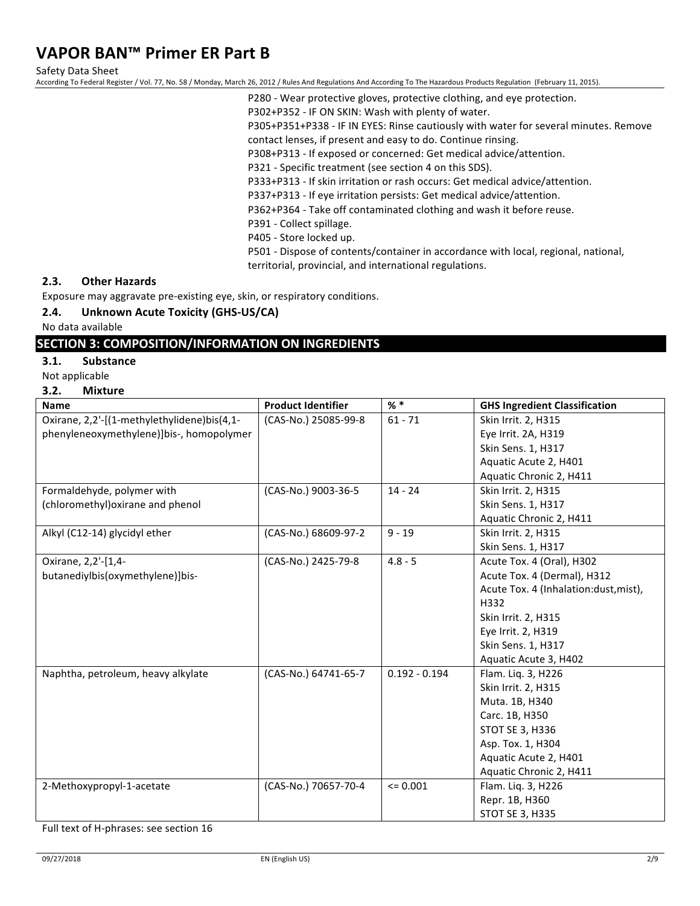Safety Data Sheet

According To Federal Register / Vol. 77, No. 58 / Monday, March 26, 2012 / Rules And Regulations And According To The Hazardous Products Regulation (February 11, 2015).

P280 - Wear protective gloves, protective clothing, and eye protection.

P302+P352 - IF ON SKIN: Wash with plenty of water.

P305+P351+P338 - IF IN EYES: Rinse cautiously with water for several minutes. Remove

contact lenses, if present and easy to do. Continue rinsing.

P308+P313 - If exposed or concerned: Get medical advice/attention.

P321 - Specific treatment (see section 4 on this SDS).

P333+P313 - If skin irritation or rash occurs: Get medical advice/attention.

P337+P313 - If eye irritation persists: Get medical advice/attention.

P362+P364 - Take off contaminated clothing and wash it before reuse.

P391 - Collect spillage.

P405 - Store locked up.

P501 - Dispose of contents/container in accordance with local, regional, national, territorial, provincial, and international regulations.

#### **2.3. Other Hazards**

Exposure may aggravate pre-existing eye, skin, or respiratory conditions.

## **2.4.** Unknown Acute Toxicity (GHS-US/CA)

No data available

## **SECTION 3: COMPOSITION/INFORMATION ON INGREDIENTS**

## **3.1. Substance**

- Not applicable
- **3.2. Mixture**

| <b>Name</b>                                 | <b>Product Identifier</b> | $%$ $*$         | <b>GHS Ingredient Classification</b>  |
|---------------------------------------------|---------------------------|-----------------|---------------------------------------|
| Oxirane, 2,2'-[(1-methylethylidene)bis(4,1- | (CAS-No.) 25085-99-8      | $61 - 71$       | Skin Irrit. 2, H315                   |
| phenyleneoxymethylene)]bis-, homopolymer    |                           |                 | Eye Irrit. 2A, H319                   |
|                                             |                           |                 | Skin Sens. 1, H317                    |
|                                             |                           |                 | Aquatic Acute 2, H401                 |
|                                             |                           |                 | Aquatic Chronic 2, H411               |
| Formaldehyde, polymer with                  | (CAS-No.) 9003-36-5       | $14 - 24$       | Skin Irrit. 2, H315                   |
| (chloromethyl) oxirane and phenol           |                           |                 | Skin Sens. 1, H317                    |
|                                             |                           |                 | Aquatic Chronic 2, H411               |
| Alkyl (C12-14) glycidyl ether               | (CAS-No.) 68609-97-2      | $9 - 19$        | Skin Irrit. 2, H315                   |
|                                             |                           |                 | Skin Sens. 1, H317                    |
| Oxirane, 2,2'-[1,4-                         | (CAS-No.) 2425-79-8       | $4.8 - 5$       | Acute Tox. 4 (Oral), H302             |
| butanediylbis(oxymethylene)]bis-            |                           |                 | Acute Tox. 4 (Dermal), H312           |
|                                             |                           |                 | Acute Tox. 4 (Inhalation:dust, mist), |
|                                             |                           |                 | H332                                  |
|                                             |                           |                 | Skin Irrit. 2, H315                   |
|                                             |                           |                 | Eye Irrit. 2, H319                    |
|                                             |                           |                 | Skin Sens. 1, H317                    |
|                                             |                           |                 | Aquatic Acute 3, H402                 |
| Naphtha, petroleum, heavy alkylate          | (CAS-No.) 64741-65-7      | $0.192 - 0.194$ | Flam. Liq. 3, H226                    |
|                                             |                           |                 | Skin Irrit. 2, H315                   |
|                                             |                           |                 | Muta. 1B, H340                        |
|                                             |                           |                 | Carc. 1B, H350                        |
|                                             |                           |                 | STOT SE 3, H336                       |
|                                             |                           |                 | Asp. Tox. 1, H304                     |
|                                             |                           |                 | Aquatic Acute 2, H401                 |
|                                             |                           |                 | Aquatic Chronic 2, H411               |
| 2-Methoxypropyl-1-acetate                   | (CAS-No.) 70657-70-4      | $= 0.001$       | Flam. Liq. 3, H226                    |
|                                             |                           |                 | Repr. 1B, H360                        |
|                                             |                           |                 | <b>STOT SE 3, H335</b>                |

Full text of H-phrases: see section 16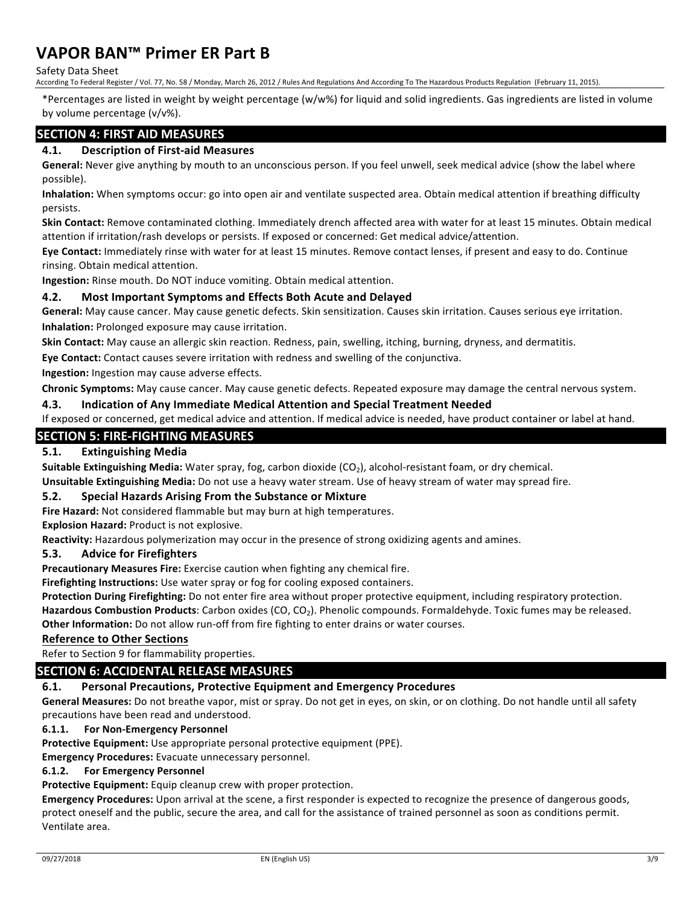Safety Data Sheet

According To Federal Register / Vol. 77, No. 58 / Monday, March 26, 2012 / Rules And Regulations And According To The Hazardous Products Regulation (February 11, 2015).

\*Percentages are listed in weight by weight percentage (w/w%) for liquid and solid ingredients. Gas ingredients are listed in volume by volume percentage (v/v%).

# **SECTION 4: FIRST AID MEASURES**

## **4.1. Description of First-aid Measures**

General: Never give anything by mouth to an unconscious person. If you feel unwell, seek medical advice (show the label where possible).

Inhalation: When symptoms occur: go into open air and ventilate suspected area. Obtain medical attention if breathing difficulty persists.

**Skin Contact:** Remove contaminated clothing. Immediately drench affected area with water for at least 15 minutes. Obtain medical attention if irritation/rash develops or persists. If exposed or concerned: Get medical advice/attention.

Eye Contact: Immediately rinse with water for at least 15 minutes. Remove contact lenses, if present and easy to do. Continue rinsing. Obtain medical attention.

**Ingestion:** Rinse mouth. Do NOT induce vomiting. Obtain medical attention.

#### **4.2.** Most Important Symptoms and Effects Both Acute and Delayed

General: May cause cancer. May cause genetic defects. Skin sensitization. Causes skin irritation. Causes serious eye irritation. **Inhalation:** Prolonged exposure may cause irritation.

Skin Contact: May cause an allergic skin reaction. Redness, pain, swelling, itching, burning, dryness, and dermatitis.

Eye Contact: Contact causes severe irritation with redness and swelling of the conjunctiva.

**Ingestion:** Ingestion may cause adverse effects.

Chronic Symptoms: May cause cancer. May cause genetic defects. Repeated exposure may damage the central nervous system.

#### **4.3. Indication of Any Immediate Medical Attention and Special Treatment Needed**

If exposed or concerned, get medical advice and attention. If medical advice is needed, have product container or label at hand.

# **SECTION 5: FIRE-FIGHTING MEASURES**

### **5.1. Extinguishing Media**

**Suitable Extinguishing Media:** Water spray, fog, carbon dioxide (CO<sub>2</sub>), alcohol-resistant foam, or dry chemical.

**Unsuitable Extinguishing Media:** Do not use a heavy water stream. Use of heavy stream of water may spread fire.

## **5.2.** Special Hazards Arising From the Substance or Mixture

**Fire Hazard:** Not considered flammable but may burn at high temperatures.

# **Explosion Hazard:** Product is not explosive.

Reactivity: Hazardous polymerization may occur in the presence of strong oxidizing agents and amines.

## **5.3. Advice for Firefighters**

**Precautionary Measures Fire:** Exercise caution when fighting any chemical fire.

**Firefighting Instructions:** Use water spray or fog for cooling exposed containers.

**Protection During Firefighting:** Do not enter fire area without proper protective equipment, including respiratory protection.

Hazardous Combustion Products: Carbon oxides (CO, CO<sub>2</sub>). Phenolic compounds. Formaldehyde. Toxic fumes may be released. **Other Information:** Do not allow run-off from fire fighting to enter drains or water courses.

#### **Reference to Other Sections**

Refer to Section 9 for flammability properties.

## **SECTION 6: ACCIDENTAL RELEASE MEASURES**

# **6.1.** Personal Precautions, Protective Equipment and Emergency Procedures

General Measures: Do not breathe vapor, mist or spray. Do not get in eyes, on skin, or on clothing. Do not handle until all safety precautions have been read and understood.

# **6.1.1.** For Non-Emergency Personnel

**Protective Equipment:** Use appropriate personal protective equipment (PPE).

**Emergency Procedures:** Evacuate unnecessary personnel.

# **6.1.2.** For Emergency Personnel

**Protective Equipment:** Equip cleanup crew with proper protection.

Emergency Procedures: Upon arrival at the scene, a first responder is expected to recognize the presence of dangerous goods, protect oneself and the public, secure the area, and call for the assistance of trained personnel as soon as conditions permit. Ventilate area.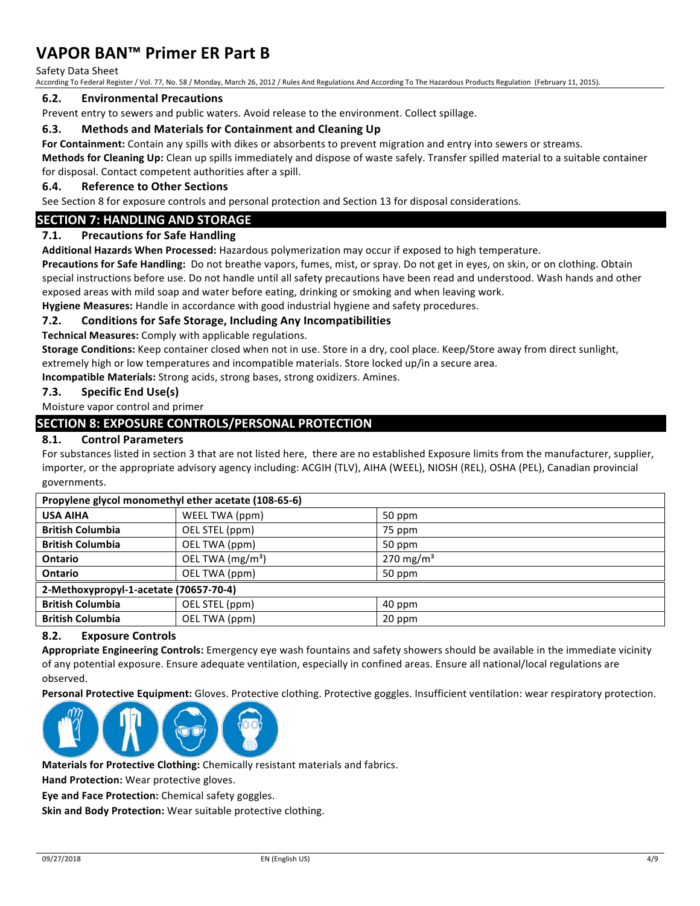#### Safety Data Sheet

According To Federal Register / Vol. 77, No. 58 / Monday, March 26, 2012 / Rules And Regulations And According To The Hazardous Products Regulation (February 11, 2015).

#### **6.2. Environmental Precautions**

Prevent entry to sewers and public waters. Avoid release to the environment. Collect spillage.

#### **6.3.** Methods and Materials for Containment and Cleaning Up

For Containment: Contain any spills with dikes or absorbents to prevent migration and entry into sewers or streams.

Methods for Cleaning Up: Clean up spills immediately and dispose of waste safely. Transfer spilled material to a suitable container for disposal. Contact competent authorities after a spill.

#### **6.4. Reference to Other Sections**

See Section 8 for exposure controls and personal protection and Section 13 for disposal considerations.

### **SECTION 7: HANDLING AND STORAGE**

#### **7.1. Precautions for Safe Handling**

Additional Hazards When Processed: Hazardous polymerization may occur if exposed to high temperature.

Precautions for Safe Handling: Do not breathe vapors, fumes, mist, or spray. Do not get in eyes, on skin, or on clothing. Obtain special instructions before use. Do not handle until all safety precautions have been read and understood. Wash hands and other exposed areas with mild soap and water before eating, drinking or smoking and when leaving work.

Hygiene Measures: Handle in accordance with good industrial hygiene and safety procedures.

#### **7.2. Conditions for Safe Storage, Including Any Incompatibilities**

**Technical Measures:** Comply with applicable regulations.

Storage Conditions: Keep container closed when not in use. Store in a dry, cool place. Keep/Store away from direct sunlight, extremely high or low temperatures and incompatible materials. Store locked up/in a secure area.

**Incompatible Materials:** Strong acids, strong bases, strong oxidizers. Amines.

#### **7.3. Specific End Use(s)**

Moisture vapor control and primer

## **SECTION 8: EXPOSURE CONTROLS/PERSONAL PROTECTION**

### **8.1. Control Parameters**

For substances listed in section 3 that are not listed here, there are no established Exposure limits from the manufacturer, supplier, importer, or the appropriate advisory agency including: ACGIH (TLV), AIHA (WEEL), NIOSH (REL), OSHA (PEL), Canadian provincial governments.

| Propylene glycol monomethyl ether acetate (108-65-6) |                                                       |  |  |  |
|------------------------------------------------------|-------------------------------------------------------|--|--|--|
| <b>USA AIHA</b>                                      | WEEL TWA (ppm)<br>50 ppm                              |  |  |  |
| <b>British Columbia</b>                              | OEL STEL (ppm)<br>75 ppm                              |  |  |  |
| <b>British Columbia</b>                              | OEL TWA (ppm)<br>50 ppm                               |  |  |  |
| Ontario                                              | OEL TWA (mg/m <sup>3</sup> )<br>270 mg/m <sup>3</sup> |  |  |  |
| Ontario                                              | OEL TWA (ppm)<br>50 ppm                               |  |  |  |
| 2-Methoxypropyl-1-acetate (70657-70-4)               |                                                       |  |  |  |
| <b>British Columbia</b>                              | OEL STEL (ppm)<br>40 ppm                              |  |  |  |
| <b>British Columbia</b>                              | OEL TWA (ppm)<br>20 ppm                               |  |  |  |

#### **8.2. Exposure Controls**

Appropriate Engineering Controls: Emergency eye wash fountains and safety showers should be available in the immediate vicinity of any potential exposure. Ensure adequate ventilation, especially in confined areas. Ensure all national/local regulations are observed.

Personal Protective Equipment: Gloves. Protective clothing. Protective goggles. Insufficient ventilation: wear respiratory protection.



Materials for Protective Clothing: Chemically resistant materials and fabrics.

**Hand Protection:** Wear protective gloves.

**Eye and Face Protection:** Chemical safety goggles.

**Skin and Body Protection:** Wear suitable protective clothing.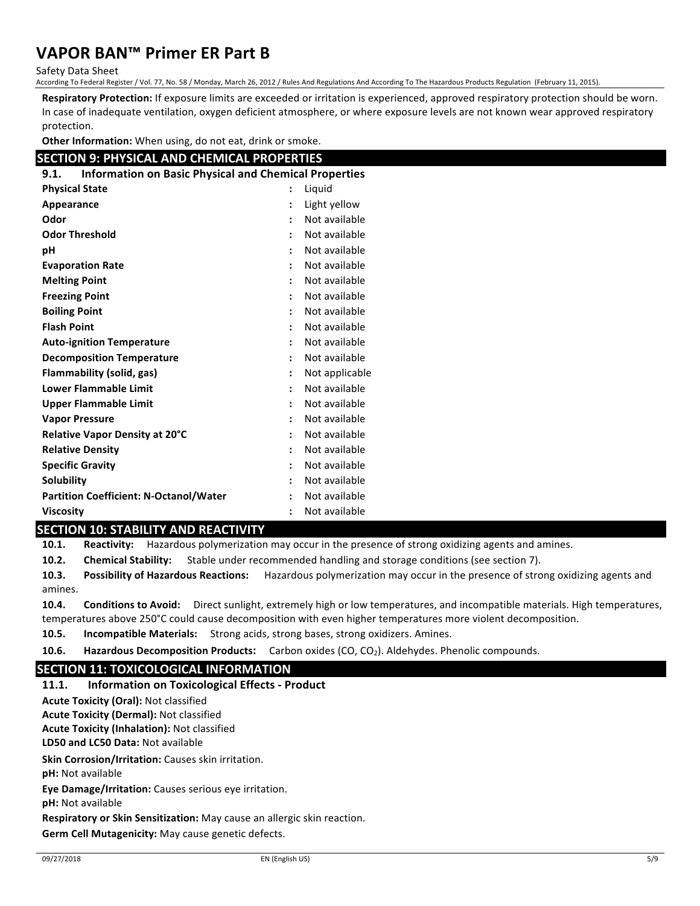Safety Data Sheet

According To Federal Register / Vol. 77, No. 58 / Monday, March 26, 2012 / Rules And Regulations And According To The Hazardous Products Regulation (February 11, 2015).

Respiratory Protection: If exposure limits are exceeded or irritation is experienced, approved respiratory protection should be worn. In case of inadequate ventilation, oxygen deficient atmosphere, or where exposure levels are not known wear approved respiratory protection.

**Other Information:** When using, do not eat, drink or smoke.

# **SECTION 9: PHYSICAL AND CHEMICAL PROPERTIES**

| <b>Information on Basic Physical and Chemical Properties</b><br>9.1. |                      |                |  |
|----------------------------------------------------------------------|----------------------|----------------|--|
| <b>Physical State</b><br>Liquid<br>$\ddot{\phantom{a}}$              |                      |                |  |
| Appearance                                                           |                      | Light yellow   |  |
| Odor                                                                 | $\ddot{\phantom{a}}$ | Not available  |  |
| <b>Odor Threshold</b>                                                | $\ddot{\phantom{a}}$ | Not available  |  |
| рH                                                                   | $\ddot{\phantom{a}}$ | Not available  |  |
| <b>Evaporation Rate</b>                                              | $\ddot{\phantom{a}}$ | Not available  |  |
| <b>Melting Point</b>                                                 | $\ddot{\phantom{a}}$ | Not available  |  |
| <b>Freezing Point</b>                                                | $\ddot{\phantom{a}}$ | Not available  |  |
| <b>Boiling Point</b>                                                 | $\ddot{\cdot}$       | Not available  |  |
| <b>Flash Point</b>                                                   | ÷                    | Not available  |  |
| <b>Auto-ignition Temperature</b>                                     | $\ddot{\cdot}$       | Not available  |  |
| <b>Decomposition Temperature</b>                                     | $\ddot{\cdot}$       | Not available  |  |
| <b>Flammability (solid, gas)</b>                                     | $\ddot{\phantom{a}}$ | Not applicable |  |
| <b>Lower Flammable Limit</b>                                         | $\ddot{\phantom{a}}$ | Not available  |  |
| <b>Upper Flammable Limit</b>                                         | $\ddot{\phantom{a}}$ | Not available  |  |
| <b>Vapor Pressure</b>                                                | ÷                    | Not available  |  |
| <b>Relative Vapor Density at 20°C</b>                                | $\ddot{\phantom{a}}$ | Not available  |  |
| <b>Relative Density</b>                                              | ÷                    | Not available  |  |
| <b>Specific Gravity</b>                                              | ÷                    | Not available  |  |
| Solubility                                                           | $\ddot{\phantom{0}}$ | Not available  |  |
| <b>Partition Coefficient: N-Octanol/Water</b>                        | $\ddot{\phantom{a}}$ | Not available  |  |
| <b>Viscosity</b>                                                     | $\ddot{\phantom{a}}$ | Not available  |  |

# **SECTION 10: STABILITY AND REACTIVITY**

**10.1.** Reactivity: Hazardous polymerization may occur in the presence of strong oxidizing agents and amines.

**10.2.** Chemical Stability: Stable under recommended handling and storage conditions (see section 7).

**10.3.** Possibility of Hazardous Reactions: Hazardous polymerization may occur in the presence of strong oxidizing agents and amines.

**10.4.** Conditions to Avoid: Direct sunlight, extremely high or low temperatures, and incompatible materials. High temperatures, temperatures above 250°C could cause decomposition with even higher temperatures more violent decomposition.

**10.5. Incompatible Materials:** Strong acids, strong bases, strong oxidizers. Amines.

**10.6.** Hazardous Decomposition Products: Carbon oxides (CO, CO<sub>2</sub>). Aldehydes. Phenolic compounds.

# **SECTION 11: TOXICOLOGICAL INFORMATION**

**11.1.** Information on Toxicological Effects - Product

**Acute Toxicity (Oral): Not classified** 

**Acute Toxicity (Dermal):** Not classified **Acute Toxicity (Inhalation): Not classified** 

**LD50 and LC50 Data: Not available** 

**Skin Corrosion/Irritation:** Causes skin irritation.

**pH:** Not available

**Eye Damage/Irritation:** Causes serious eye irritation.

**pH:** Not available

**Respiratory or Skin Sensitization:** May cause an allergic skin reaction.

**Germ Cell Mutagenicity:** May cause genetic defects.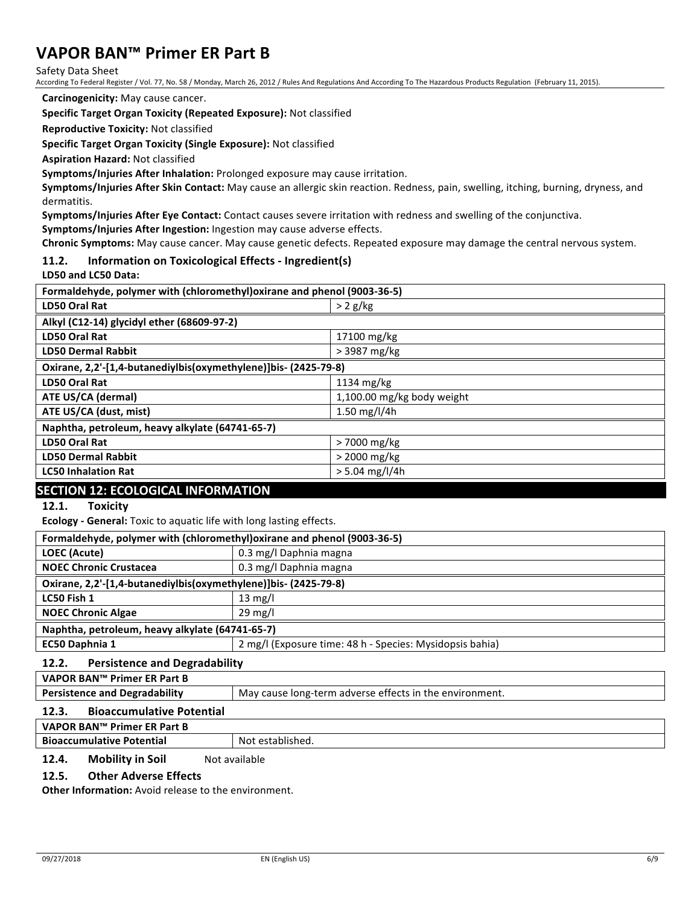Safety Data Sheet

According To Federal Register / Vol. 77, No. 58 / Monday, March 26, 2012 / Rules And Regulations And According To The Hazardous Products Regulation (February 11, 2015).

**Carcinogenicity:** May cause cancer.

**Specific Target Organ Toxicity (Repeated Exposure):** Not classified

**Reproductive Toxicity: Not classified** 

**Specific Target Organ Toxicity (Single Exposure): Not classified** 

**Aspiration Hazard: Not classified** 

**Symptoms/Injuries After Inhalation:** Prolonged exposure may cause irritation.

Symptoms/Injuries After Skin Contact: May cause an allergic skin reaction. Redness, pain, swelling, itching, burning, dryness, and dermatitis.

**Symptoms/Injuries After Eye Contact:** Contact causes severe irritation with redness and swelling of the conjunctiva.

**Symptoms/Injuries After Ingestion:** Ingestion may cause adverse effects.

Chronic Symptoms: May cause cancer. May cause genetic defects. Repeated exposure may damage the central nervous system.

#### **11.2. Information on Toxicological Effects - Ingredient(s)**

**LD50 and LC50 Data:** 

| Formaldehyde, polymer with (chloromethyl) oxirane and phenol (9003-36-5) |                            |  |  |
|--------------------------------------------------------------------------|----------------------------|--|--|
| LD50 Oral Rat                                                            | $> 2$ g/kg                 |  |  |
| Alkyl (C12-14) glycidyl ether (68609-97-2)                               |                            |  |  |
| LD50 Oral Rat                                                            | 17100 mg/kg                |  |  |
| <b>LD50 Dermal Rabbit</b>                                                | $>$ 3987 mg/kg             |  |  |
| Oxirane, 2,2'-[1,4-butanediylbis(oxymethylene)]bis- (2425-79-8)          |                            |  |  |
| <b>LD50 Oral Rat</b>                                                     | $1134 \text{ mg/kg}$       |  |  |
| ATE US/CA (dermal)                                                       | 1,100.00 mg/kg body weight |  |  |
| ATE US/CA (dust, mist)                                                   | 1.50 $mg/l/4h$             |  |  |
| Naphtha, petroleum, heavy alkylate (64741-65-7)                          |                            |  |  |
| <b>LD50 Oral Rat</b>                                                     | > 7000 mg/kg               |  |  |
| <b>LD50 Dermal Rabbit</b>                                                | $>$ 2000 mg/kg             |  |  |
| <b>LC50 Inhalation Rat</b>                                               | $> 5.04$ mg/l/4h           |  |  |
|                                                                          |                            |  |  |

## **SECTION 12: ECOLOGICAL INFORMATION**

12.1. Toxicity

**Ecology** - General: Toxic to aquatic life with long lasting effects.

| Formaldehyde, polymer with (chloromethyl) oxirane and phenol (9003-36-5)   |                        |  |
|----------------------------------------------------------------------------|------------------------|--|
| LOEC (Acute)                                                               | 0.3 mg/l Daphnia magna |  |
| <b>NOEC Chronic Crustacea</b>                                              | 0.3 mg/l Daphnia magna |  |
| Oxirane, 2,2'-[1,4-butanediylbis(oxymethylene)]bis- (2425-79-8)            |                        |  |
| LC50 Fish 1<br>$13 \text{ mg/l}$                                           |                        |  |
| <b>NOEC Chronic Algae</b><br>$29 \text{ mg/l}$                             |                        |  |
| Naphtha, petroleum, heavy alkylate (64741-65-7)                            |                        |  |
| EC50 Daphnia 1<br>2 mg/l (Exposure time: 48 h - Species: Mysidopsis bahia) |                        |  |

#### **12.2.** Persistence and Degradability

**VAPOR BAN™ Primer ER Part B**

**Persistence and Degradability** May cause long-term adverse effects in the environment.

#### **12.3.** Bioaccumulative Potential

#### **VAPOR BAN™ Primer ER Part B**

**Bioaccumulative Potential State Research Research Research Research Research Research Research Research Research Research Research Research Research Research Research Research Research Research Research Research Research** 

### **12.4.** Mobility in Soil Not available

### **12.5.** Other Adverse Effects

**Other Information:** Avoid release to the environment.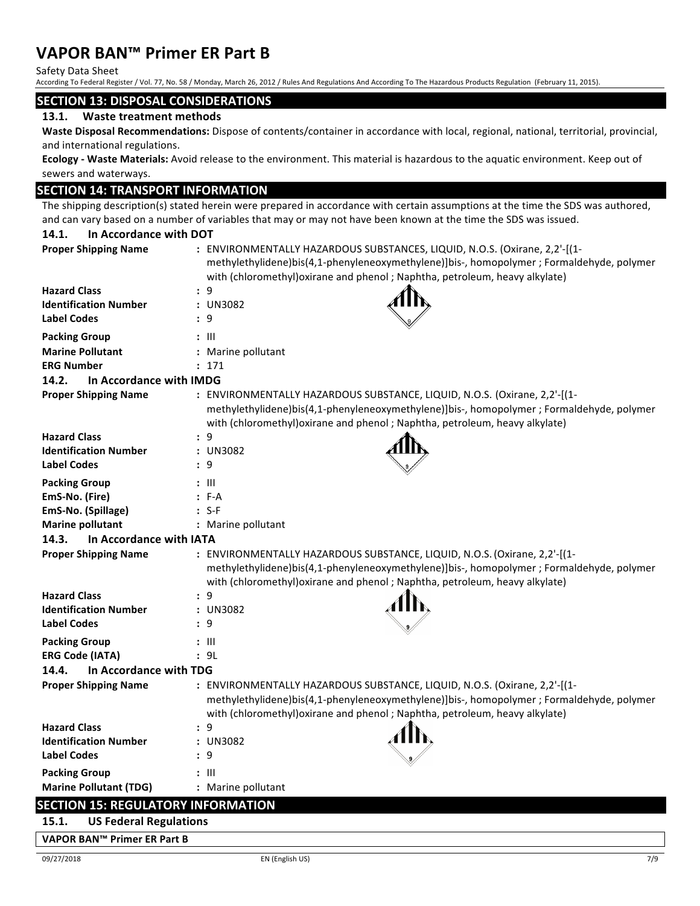Safety Data Sheet

According To Federal Register / Vol. 77, No. 58 / Monday, March 26, 2012 / Rules And Regulations And According To The Hazardous Products Regulation (February 11, 2015).

### **SECTION 13: DISPOSAL CONSIDERATIONS**

### 13.1. Waste treatment methods

Waste Disposal Recommendations: Dispose of contents/container in accordance with local, regional, national, territorial, provincial, and international regulations.

**Ecology** - Waste Materials: Avoid release to the environment. This material is hazardous to the aquatic environment. Keep out of sewers and waterways.

## **SECTION 14: TRANSPORT INFORMATION**

The shipping description(s) stated herein were prepared in accordance with certain assumptions at the time the SDS was authored, and can vary based on a number of variables that may or may not have been known at the time the SDS was issued.

| 14.1.<br>In Accordance with DOT           |                                                                                                                                                                                                                                                        |
|-------------------------------------------|--------------------------------------------------------------------------------------------------------------------------------------------------------------------------------------------------------------------------------------------------------|
| <b>Proper Shipping Name</b>               | : ENVIRONMENTALLY HAZARDOUS SUBSTANCES, LIQUID, N.O.S. (Oxirane, 2,2'-[(1-<br>methylethylidene)bis(4,1-phenyleneoxymethylene)]bis-, homopolymer ; Formaldehyde, polymer<br>with (chloromethyl) oxirane and phenol; Naphtha, petroleum, heavy alkylate) |
| <b>Hazard Class</b>                       | : 9                                                                                                                                                                                                                                                    |
| <b>Identification Number</b>              | : UN3082                                                                                                                                                                                                                                               |
| <b>Label Codes</b>                        | : 9                                                                                                                                                                                                                                                    |
| <b>Packing Group</b>                      | $: \mathbb{H}$                                                                                                                                                                                                                                         |
| <b>Marine Pollutant</b>                   | : Marine pollutant                                                                                                                                                                                                                                     |
| <b>ERG Number</b>                         | : 171                                                                                                                                                                                                                                                  |
| 14.2.<br>In Accordance with IMDG          |                                                                                                                                                                                                                                                        |
| <b>Proper Shipping Name</b>               | : ENVIRONMENTALLY HAZARDOUS SUBSTANCE, LIQUID, N.O.S. (Oxirane, 2,2'-[(1-<br>methylethylidene)bis(4,1-phenyleneoxymethylene)]bis-, homopolymer ; Formaldehyde, polymer<br>with (chloromethyl) oxirane and phenol; Naphtha, petroleum, heavy alkylate)  |
| <b>Hazard Class</b>                       | : 9                                                                                                                                                                                                                                                    |
| <b>Identification Number</b>              | : UN3082                                                                                                                                                                                                                                               |
| <b>Label Codes</b>                        | : 9                                                                                                                                                                                                                                                    |
| <b>Packing Group</b>                      | : III                                                                                                                                                                                                                                                  |
| EmS-No. (Fire)                            | $: F-A$                                                                                                                                                                                                                                                |
| EmS-No. (Spillage)                        | $: S-F$                                                                                                                                                                                                                                                |
| <b>Marine pollutant</b>                   | : Marine pollutant                                                                                                                                                                                                                                     |
| 14.3.<br>In Accordance with IATA          |                                                                                                                                                                                                                                                        |
| <b>Proper Shipping Name</b>               | : ENVIRONMENTALLY HAZARDOUS SUBSTANCE, LIQUID, N.O.S. (Oxirane, 2,2'-[(1-<br>methylethylidene)bis(4,1-phenyleneoxymethylene)]bis-, homopolymer ; Formaldehyde, polymer<br>with (chloromethyl) oxirane and phenol; Naphtha, petroleum, heavy alkylate)  |
| <b>Hazard Class</b>                       | : 9                                                                                                                                                                                                                                                    |
| <b>Identification Number</b>              | : UN3082                                                                                                                                                                                                                                               |
| <b>Label Codes</b>                        | : 9                                                                                                                                                                                                                                                    |
| <b>Packing Group</b>                      | $: \mathsf{III}$                                                                                                                                                                                                                                       |
| <b>ERG Code (IATA)</b>                    | : 9L                                                                                                                                                                                                                                                   |
| In Accordance with TDG<br>14.4.           |                                                                                                                                                                                                                                                        |
| <b>Proper Shipping Name</b>               | : ENVIRONMENTALLY HAZARDOUS SUBSTANCE, LIQUID, N.O.S. (Oxirane, 2,2'-[(1-<br>methylethylidene)bis(4,1-phenyleneoxymethylene)]bis-, homopolymer ; Formaldehyde, polymer<br>with (chloromethyl) oxirane and phenol; Naphtha, petroleum, heavy alkylate)  |
| <b>Hazard Class</b>                       | : 9                                                                                                                                                                                                                                                    |
| <b>Identification Number</b>              | : UN3082                                                                                                                                                                                                                                               |
| <b>Label Codes</b>                        | : 9                                                                                                                                                                                                                                                    |
| <b>Packing Group</b>                      | $: \mathbb{H}$                                                                                                                                                                                                                                         |
| <b>Marine Pollutant (TDG)</b>             | : Marine pollutant                                                                                                                                                                                                                                     |
| <b>SECTION 15: REGULATORY INFORMATION</b> |                                                                                                                                                                                                                                                        |
| <b>US Federal Regulations</b><br>15.1.    |                                                                                                                                                                                                                                                        |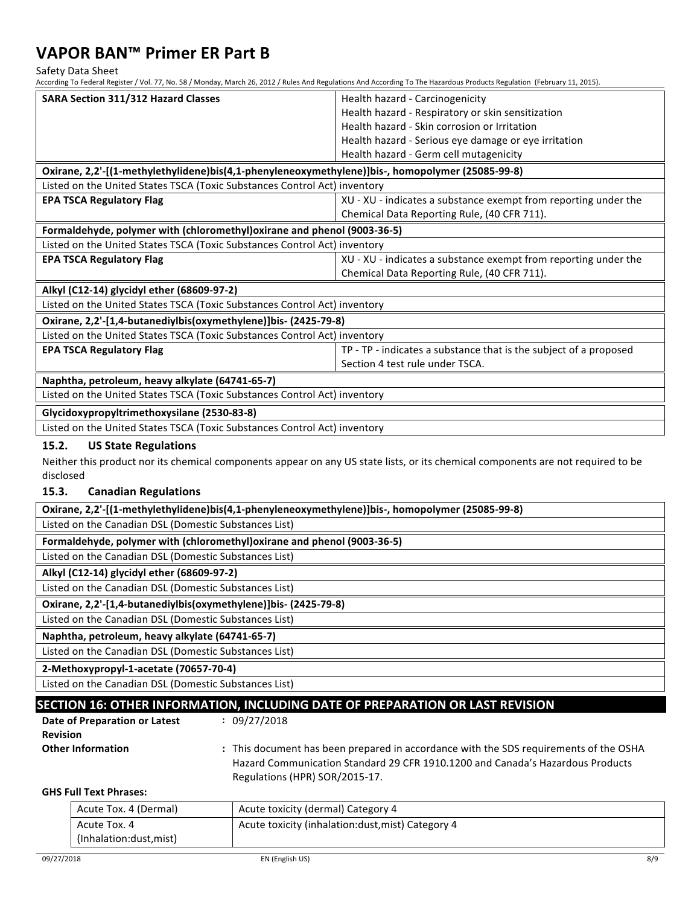Safety Data Sheet

According To Federal Register / Vol. 77, No. 58 / Monday, March 26, 2012 / Rules And Regulations And According To The Hazardous Products Regulation (February 11, 2015).

| <b>SARA Section 311/312 Hazard Classes</b>                                                       | Health hazard - Carcinogenicity                                                                                                  |  |  |  |
|--------------------------------------------------------------------------------------------------|----------------------------------------------------------------------------------------------------------------------------------|--|--|--|
|                                                                                                  | Health hazard - Respiratory or skin sensitization                                                                                |  |  |  |
|                                                                                                  | Health hazard - Skin corrosion or Irritation                                                                                     |  |  |  |
|                                                                                                  | Health hazard - Serious eye damage or eye irritation                                                                             |  |  |  |
|                                                                                                  | Health hazard - Germ cell mutagenicity                                                                                           |  |  |  |
| Oxirane, 2,2'-[(1-methylethylidene)bis(4,1-phenyleneoxymethylene)]bis-, homopolymer (25085-99-8) |                                                                                                                                  |  |  |  |
| Listed on the United States TSCA (Toxic Substances Control Act) inventory                        |                                                                                                                                  |  |  |  |
| <b>EPA TSCA Regulatory Flag</b>                                                                  | XU - XU - indicates a substance exempt from reporting under the                                                                  |  |  |  |
|                                                                                                  | Chemical Data Reporting Rule, (40 CFR 711).                                                                                      |  |  |  |
| Formaldehyde, polymer with (chloromethyl) oxirane and phenol (9003-36-5)                         |                                                                                                                                  |  |  |  |
| Listed on the United States TSCA (Toxic Substances Control Act) inventory                        |                                                                                                                                  |  |  |  |
| <b>EPA TSCA Regulatory Flag</b>                                                                  | XU - XU - indicates a substance exempt from reporting under the                                                                  |  |  |  |
|                                                                                                  | Chemical Data Reporting Rule, (40 CFR 711).                                                                                      |  |  |  |
| Alkyl (C12-14) glycidyl ether (68609-97-2)                                                       |                                                                                                                                  |  |  |  |
| Listed on the United States TSCA (Toxic Substances Control Act) inventory                        |                                                                                                                                  |  |  |  |
| Oxirane, 2,2'-[1,4-butanediylbis(oxymethylene)]bis- (2425-79-8)                                  |                                                                                                                                  |  |  |  |
| Listed on the United States TSCA (Toxic Substances Control Act) inventory                        |                                                                                                                                  |  |  |  |
| <b>EPA TSCA Regulatory Flag</b>                                                                  | TP - TP - indicates a substance that is the subject of a proposed                                                                |  |  |  |
|                                                                                                  | Section 4 test rule under TSCA.                                                                                                  |  |  |  |
| Naphtha, petroleum, heavy alkylate (64741-65-7)                                                  |                                                                                                                                  |  |  |  |
| Listed on the United States TSCA (Toxic Substances Control Act) inventory                        |                                                                                                                                  |  |  |  |
| Glycidoxypropyltrimethoxysilane (2530-83-8)                                                      |                                                                                                                                  |  |  |  |
| Listed on the United States TSCA (Toxic Substances Control Act) inventory                        |                                                                                                                                  |  |  |  |
| 15.2.<br><b>US State Regulations</b>                                                             |                                                                                                                                  |  |  |  |
|                                                                                                  | Neither this product nor its chemical components appear on any US state lists, or its chemical components are not required to be |  |  |  |
| disclosed                                                                                        |                                                                                                                                  |  |  |  |
| 15.3.<br><b>Canadian Regulations</b>                                                             |                                                                                                                                  |  |  |  |
| Oxirane, 2,2'-[(1-methylethylidene)bis(4,1-phenyleneoxymethylene)]bis-, homopolymer (25085-99-8) |                                                                                                                                  |  |  |  |
| Listed on the Canadian DSL (Domestic Substances List)                                            |                                                                                                                                  |  |  |  |
| Formaldehyde, polymer with (chloromethyl) oxirane and phenol (9003-36-5)                         |                                                                                                                                  |  |  |  |
| Listed on the Canadian DSL (Domestic Substances List)                                            |                                                                                                                                  |  |  |  |
| Alkyl (C12-14) glycidyl ether (68609-97-2)                                                       |                                                                                                                                  |  |  |  |
| Listed on the Canadian DSL (Domestic Substances List)                                            |                                                                                                                                  |  |  |  |
| Oxirane, 2,2'-[1,4-butanediylbis(oxymethylene)]bis- (2425-79-8)                                  |                                                                                                                                  |  |  |  |

Listed on the Canadian DSL (Domestic Substances List) **Naphtha, petroleum, heavy alkylate (64741-65-7)**

Listed on the Canadian DSL (Domestic Substances List)

**2-Methoxypropyl-1-acetate (70657-70-4)**

Listed on the Canadian DSL (Domestic Substances List)

# **SECTION 16: OTHER INFORMATION, INCLUDING DATE OF PREPARATION OR LAST REVISION**

**:** 09/27/2018

| Date of Preparation or Latest |
|-------------------------------|
| <b>Revision</b>               |
| <b>Other Information</b>      |

**:** This document has been prepared in accordance with the SDS requirements of the OSHA Hazard Communication Standard 29 CFR 1910.1200 and Canada's Hazardous Products Regulations (HPR) SOR/2015-17.

## **GHS Full Text Phrases:**

| Acute toxicity (inhalation: dust, mist) Category 4<br>Acute Tox. 4<br>(Inhalation:dust, mist) | Acute Tox. 4 (Dermal) | Acute toxicity (dermal) Category 4 |
|-----------------------------------------------------------------------------------------------|-----------------------|------------------------------------|
|                                                                                               |                       |                                    |
|                                                                                               |                       |                                    |